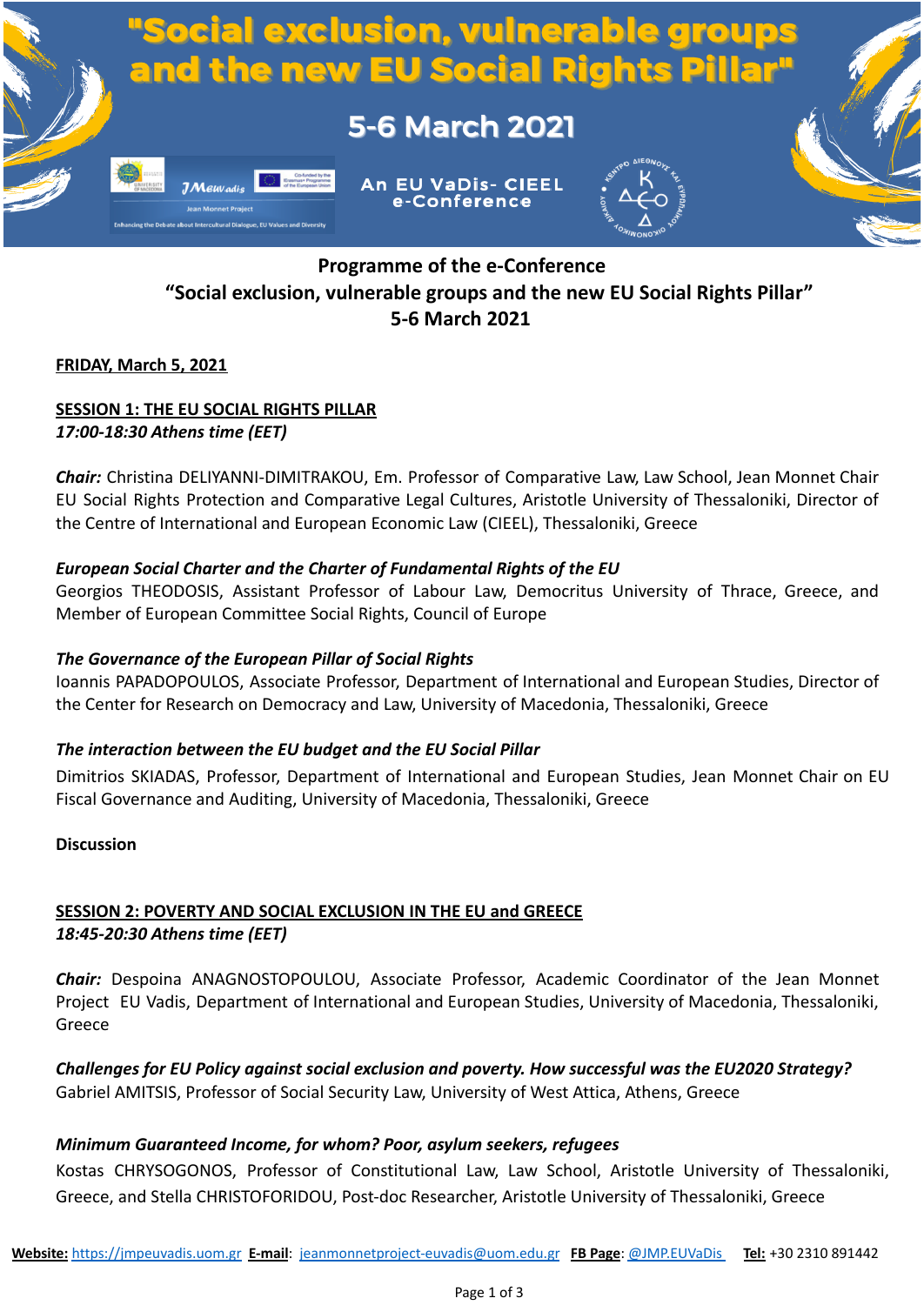

# **Programme of the e-Conference "Social exclusion, vulnerable groups and the new EU Social Rights Pillar" 5-6 March 2021**

### **FRIDAY, March 5, 2021**

### **SESSION 1: THE EU SOCIAL RIGHTS PILLAR** *17:00-18:30 Athens time (EET)*

*Chair:* Christina DELIYANNI-DIMITRAKOU, Em. Professor of Comparative Law, Law School, Jean Monnet Chair EU Social Rights Protection and Comparative Legal Cultures, Aristotle University of Thessaloniki, Director of the Centre of International and European Economic Law (CIEEL), Thessaloniki, Greece

### *European Social Charter and the Charter of Fundamental Rights of the EU*

Georgios THEODOSIS, Assistant Professor of Labour Law, Democritus University of Thrace, Greece, and Member of European Committee Social Rights, Council of Europe

### *The Governance of the European Pillar of Social Rights*

Ioannis PAPADOPOULOS, Associate Professor, Department of International and European Studies, Director of the Center for Research on Democracy and Law, University of Macedonia, Thessaloniki, Greece

### *The interaction between the EU budget and the EU Social Pillar*

Dimitrios SKIADAS, Professor, Department of International and European Studies, Jean Monnet Chair on EU Fiscal Governance and Auditing, University of Macedonia, Thessaloniki, Greece

### **Discussion**

# **SESSION 2: POVERTY AND SOCIAL EXCLUSION IN THE EU and GREECE** *18:45-20:30 Athens time (EET)*

*Chair:* Despoina ANAGNOSTOPOULOU, Associate Professor, Academic Coordinator of the Jean Monnet Project EU Vadis, Department of International and European Studies, University of Macedonia, Thessaloniki, Greece

*Challenges for EU Policy against social exclusion and poverty. How successful was the EU2020 Strategy?* Gabriel AMITSIS, Professor of Social Security Law, University of West Attica, Athens, Greece

### *Minimum Guaranteed Income, for whom? Poor, asylum seekers, refugees*

Kostas CHRYSOGONOS, Professor of Constitutional Law, Law School, Aristotle University of Thessaloniki, Greece, and Stella CHRISTOFORIDOU, Post-doc Researcher, Aristotle University of Thessaloniki, Greece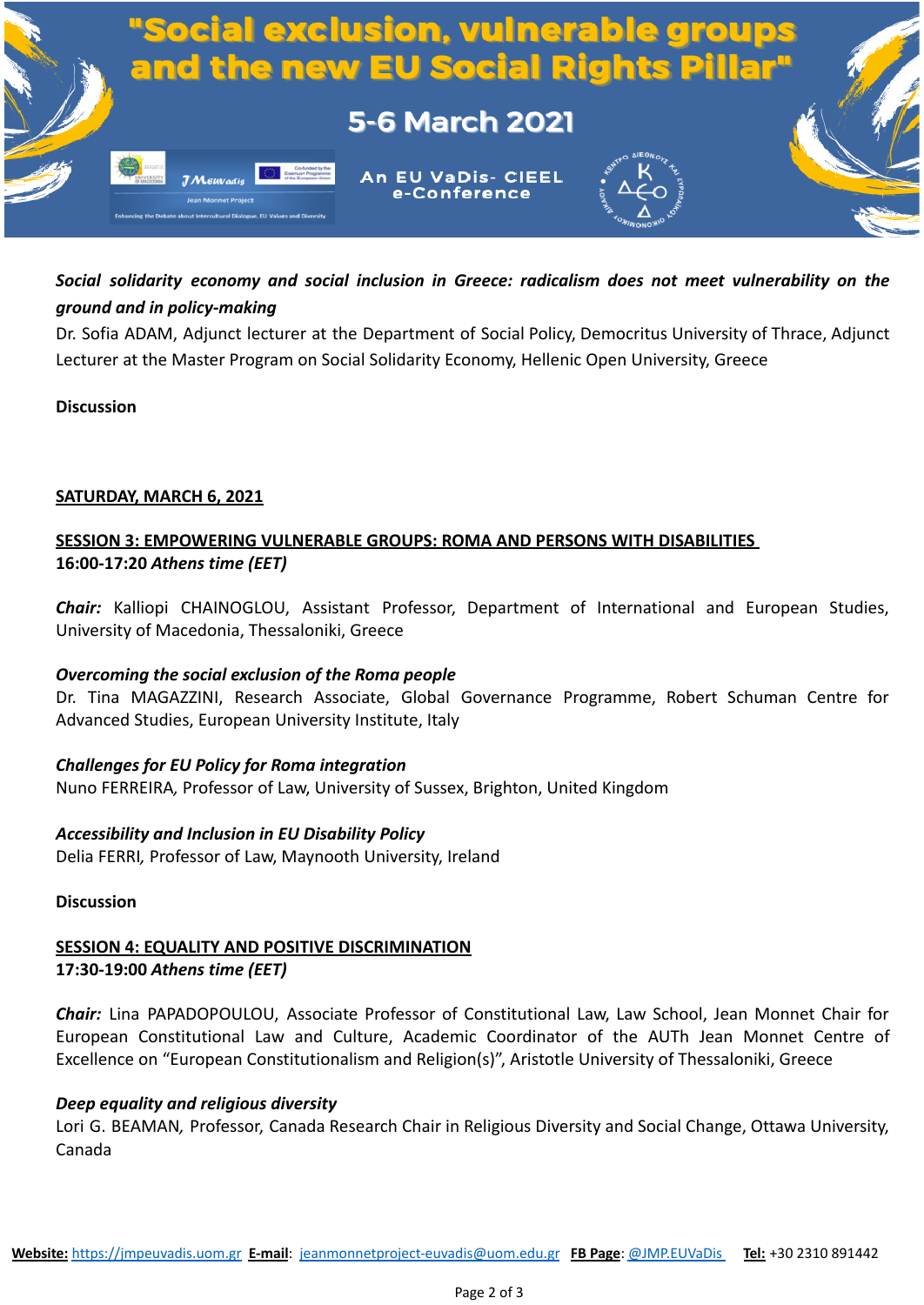

# *Social solidarity economy and social inclusion in Greece: radicalism does not meet vulnerability on the ground and in policy-making*

Dr. Sofia ADAM, Adjunct lecturer at the Department of Social Policy, Democritus University of Thrace, Adjunct Lecturer at the Master Program on Social Solidarity Economy, Hellenic Open University, Greece

### **Discussion**

### **SATURDAY, MARCH 6, 2021**

## **SESSION 3: EMPOWERING VULNERABLE GROUPS: ROMA AND PERSONS WITH DISABILITIES 16:00-17:20** *Athens time (EET)*

*Chair:* Kalliopi CHAINOGLOU, Assistant Professor, Department of International and European Studies, University of Macedonia, Thessaloniki, Greece

### *Overcoming the social exclusion of the Roma people*

Dr. Tina MAGAZZINI, Research Associate, Global Governance Programme, Robert Schuman Centre for Advanced Studies, European University Institute, Italy

### *Challenges for EU Policy for Roma integration* Nuno FERREIRA*,* Professor of Law, University of Sussex, Brighton, United Kingdom

#### *Accessibility and Inclusion in EU Disability Policy* Delia FERRI*,* Professor of Law, Maynooth University, Ireland

### **Discussion**

## **SESSION 4: EQUALITY AND POSITIVE DISCRIMINATION 17:30-19:00** *Athens time (EET)*

*Chair:* Lina PAPADOPOULOU, Associate Professor of Constitutional Law, Law School, Jean Monnet Chair for European Constitutional Law and Culture, Academic Coordinator of the AUTh Jean Monnet Centre of Excellence on "European Constitutionalism and Religion(s)", Aristotle University of Thessaloniki, Greece

### *Deep equality and religious diversity*

Lori G. BEAMAN*,* Professor, Canada Research Chair in Religious Diversity and Social Change, Ottawa University, Canada